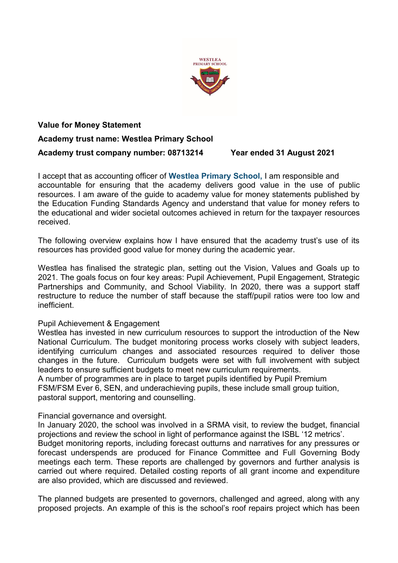

## **Value for Money Statement Academy trust name: Westlea Primary School Academy trust company number: 08713214 Year ended 31 August 2021**

I accept that as accounting officer of **Westlea Primary School,** I am responsible and accountable for ensuring that the academy delivers good value in the use of public resources. I am aware of the guide to academy value for money statements published by the Education Funding Standards Agency and understand that value for money refers to the educational and wider societal outcomes achieved in return for the taxpayer resources received.

The following overview explains how I have ensured that the academy trust's use of its resources has provided good value for money during the academic year.

Westlea has finalised the strategic plan, setting out the Vision, Values and Goals up to 2021. The goals focus on four key areas: Pupil Achievement, Pupil Engagement, Strategic Partnerships and Community, and School Viability. In 2020, there was a support staff restructure to reduce the number of staff because the staff/pupil ratios were too low and inefficient.

## Pupil Achievement & Engagement

Westlea has invested in new curriculum resources to support the introduction of the New National Curriculum. The budget monitoring process works closely with subject leaders, identifying curriculum changes and associated resources required to deliver those changes in the future. Curriculum budgets were set with full involvement with subject leaders to ensure sufficient budgets to meet new curriculum requirements.

A number of programmes are in place to target pupils identified by Pupil Premium FSM/FSM Ever 6, SEN, and underachieving pupils, these include small group tuition, pastoral support, mentoring and counselling.

Financial governance and oversight.

In January 2020, the school was involved in a SRMA visit, to review the budget, financial projections and review the school in light of performance against the ISBL '12 metrics'.

Budget monitoring reports, including forecast outturns and narratives for any pressures or forecast underspends are produced for Finance Committee and Full Governing Body meetings each term. These reports are challenged by governors and further analysis is carried out where required. Detailed costing reports of all grant income and expenditure are also provided, which are discussed and reviewed.

The planned budgets are presented to governors, challenged and agreed, along with any proposed projects. An example of this is the school's roof repairs project which has been